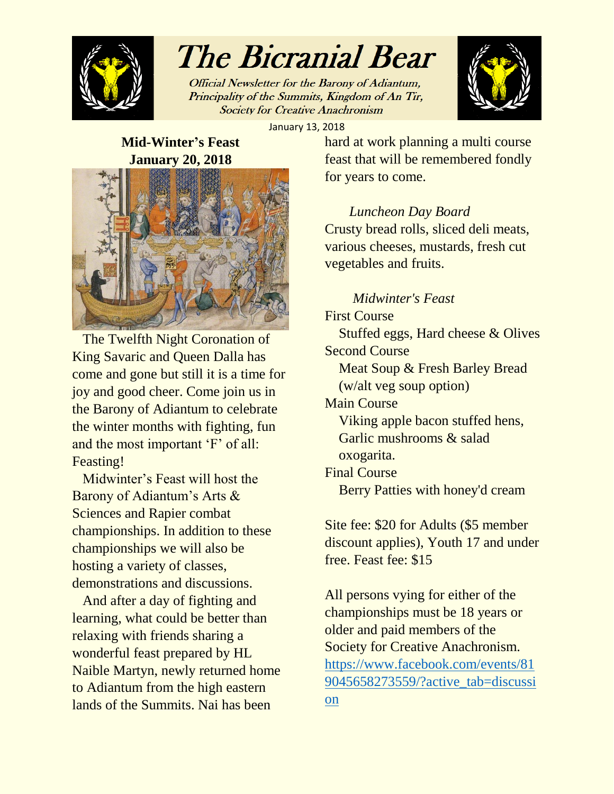

# The Bicranial Bear

Official Newsletter for the Barony of Adiantum, Principality of the Summits, Kingdom of An Tir, **Society for Creative Anachronism** 



January 13, 2018

### **Mid-Winter's Feast January 20, 2018**



 The Twelfth Night Coronation of King Savaric and Queen Dalla has come and gone but still it is a time for joy and good cheer. Come join us in the Barony of Adiantum to celebrate the winter months with fighting, fun and the most important 'F' of all: Feasting!

 Midwinter's Feast will host the Barony of Adiantum's Arts & Sciences and Rapier combat championships. In addition to these championships we will also be hosting a variety of classes, demonstrations and discussions.

 And after a day of fighting and learning, what could be better than relaxing with friends sharing a wonderful feast prepared by HL Naible Martyn, newly returned home to Adiantum from the high eastern lands of the Summits. Nai has been

hard at work planning a multi course feast that will be remembered fondly for years to come.

### *Luncheon Day Board*

Crusty bread rolls, sliced deli meats, various cheeses, mustards, fresh cut vegetables and fruits.

### *Midwinter's Feast*

First Course Stuffed eggs, Hard cheese & Olives Second Course Meat Soup & Fresh Barley Bread (w/alt veg soup option) Main Course Viking apple bacon stuffed hens, Garlic mushrooms & salad oxogarita. Final Course Berry Patties with honey'd cream

Site fee: \$20 for Adults (\$5 member discount applies), Youth 17 and under free. Feast fee: \$15

All persons vying for either of the championships must be 18 years or older and paid members of the Society for Creative Anachronism. [https://www.facebook.com/events/81](https://www.facebook.com/events/819045658273559/?active_tab=discussion) [9045658273559/?active\\_tab=discussi](https://www.facebook.com/events/819045658273559/?active_tab=discussion) [on](https://www.facebook.com/events/819045658273559/?active_tab=discussion)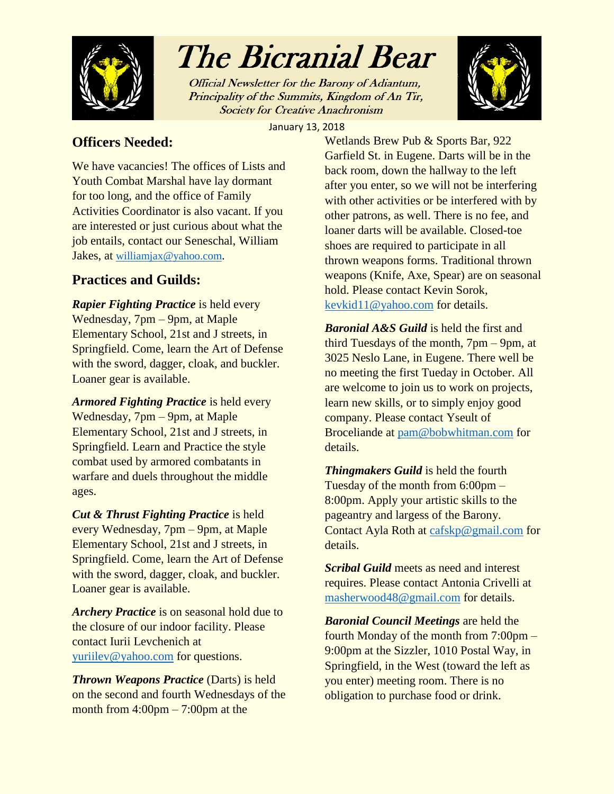

## The Bicranial Bear

Official Newsletter for the Barony of Adiantum, Principality of the Summits, Kingdom of An Tir, **Society for Creative Anachronism** 



January 13, 2018

### **Officers Needed:**

We have vacancies! The offices of Lists and Youth Combat Marshal have lay dormant for too long, and the office of Family Activities Coordinator is also vacant. If you are interested or just curious about what the job entails, contact our Seneschal, William Jakes, at [williamjax@yahoo.com](mailto:williamjax@yahoo.com).

### **Practices and Guilds:**

*Rapier Fighting Practice* is held every Wednesday, 7pm – 9pm, at Maple Elementary School, 21st and J streets, in Springfield. Come, learn the Art of Defense with the sword, dagger, cloak, and buckler. Loaner gear is available.

*Armored Fighting Practice* is held every Wednesday, 7pm – 9pm, at Maple Elementary School, 21st and J streets, in Springfield. Learn and Practice the style combat used by armored combatants in warfare and duels throughout the middle ages.

*Cut & Thrust Fighting Practice* is held every Wednesday, 7pm – 9pm, at Maple Elementary School, 21st and J streets, in Springfield. Come, learn the Art of Defense with the sword, dagger, cloak, and buckler. Loaner gear is available.

*Archery Practice* is on seasonal hold due to the closure of our indoor facility. Please contact Iurii Levchenich at [yuriilev@yahoo.com](mailto:yuriilev@yahoo.com) for questions.

*Thrown Weapons Practice* (Darts) is held on the second and fourth Wednesdays of the month from  $4:00 \text{pm} - 7:00 \text{pm}$  at the

Wetlands Brew Pub & Sports Bar, 922 Garfield St. in Eugene. Darts will be in the back room, down the hallway to the left after you enter, so we will not be interfering with other activities or be interfered with by other patrons, as well. There is no fee, and loaner darts will be available. Closed-toe shoes are required to participate in all thrown weapons forms. Traditional thrown weapons (Knife, Axe, Spear) are on seasonal hold. Please contact Kevin Sorok, [kevkid11@yahoo.com](mailto:kevkid11@yahoo.com) for details.

*Baronial A&S Guild* is held the first and third Tuesdays of the month, 7pm – 9pm, at 3025 Neslo Lane, in Eugene. There well be no meeting the first Tueday in October. All are welcome to join us to work on projects, learn new skills, or to simply enjoy good company. Please contact Yseult of Broceliande at [pam@bobwhitman.com](mailto:pam@bobwhitman.com) for details.

*Thingmakers Guild* is held the fourth Tuesday of the month from 6:00pm – 8:00pm. Apply your artistic skills to the pageantry and largess of the Barony. Contact Ayla Roth at [cafskp@gmail.com](mailto:cafskp@gmail.com) for details.

*Scribal Guild* meets as need and interest requires. Please contact Antonia Crivelli at [masherwood48@gmail.com](mailto:masherwood48@gmail.com) for details.

*Baronial Council Meetings* are held the fourth Monday of the month from 7:00pm – 9:00pm at the Sizzler, 1010 Postal Way, in Springfield, in the West (toward the left as you enter) meeting room. There is no obligation to purchase food or drink.